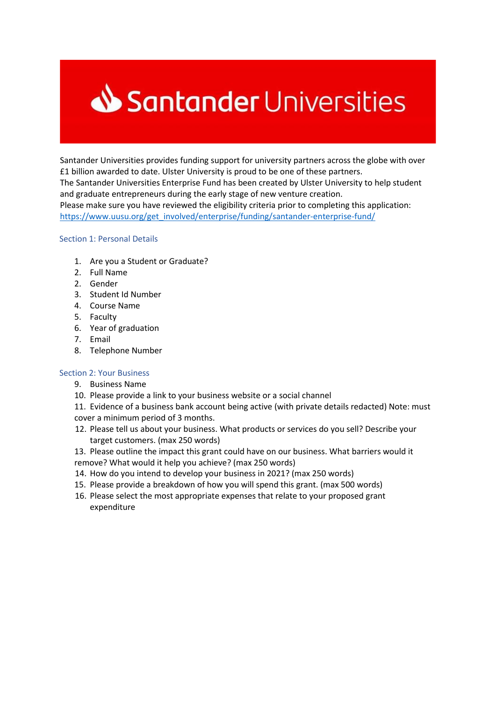# Santander Universities

Santander Universities provides funding support for university partners across the globe with over £1 billion awarded to date. Ulster University is proud to be one of these partners. The Santander Universities Enterprise Fund has been created by Ulster University to help student and graduate entrepreneurs during the early stage of new venture creation. Please make sure you have reviewed the eligibility criteria prior to completing this application: [https://www.uusu.org/get\\_involved/enterprise/funding/santander-enterprise-fund/](https://www.uusu.org/get_involved/enterprise/funding/santander-enterprise-fund/)

## Section 1: Personal Details

- 1. Are you a Student or Graduate?
- 2. Full Name
- 2. Gender
- 3. Student Id Number
- 4. Course Name
- 5. Faculty
- 6. Year of graduation
- 7. Email
- 8. Telephone Number

## Section 2: Your Business

- 9. Business Name
- 10. Please provide a link to your business website or a social channel
- 11. Evidence of a business bank account being active (with private details redacted) Note: must cover a minimum period of 3 months.
- 12. Please tell us about your business. What products or services do you sell? Describe your target customers. (max 250 words)
- 13. Please outline the impact this grant could have on our business. What barriers would it
- remove? What would it help you achieve? (max 250 words)
- 14. How do you intend to develop your business in 2021? (max 250 words)
- 15. Please provide a breakdown of how you will spend this grant. (max 500 words)
- 16. Please select the most appropriate expenses that relate to your proposed grant expenditure